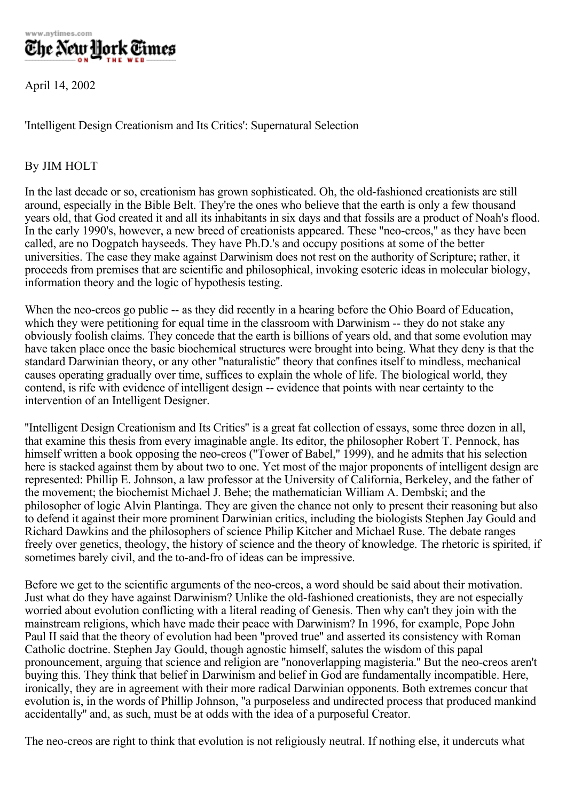

April 14, 2002

'Intelligent Design Creationism and Its Critics': Supernatural Selection

## By JIM HOLT

In the last decade or so, creationism has grown sophisticated. Oh, the old-fashioned creationists are still around, especially in the Bible Belt. They're the ones who believe that the earth is only a few thousand years old, that God created it and all its inhabitants in six days and that fossils are a product of Noah's flood. In the early 1990's, however, a new breed of creationists appeared. These ''neo-creos,'' as they have been called, are no Dogpatch hayseeds. They have Ph.D.'s and occupy positions at some of the better universities. The case they make against Darwinism does not rest on the authority of Scripture; rather, it proceeds from premises that are scientific and philosophical, invoking esoteric ideas in molecular biology, information theory and the logic of hypothesis testing.

When the neo-creos go public -- as they did recently in a hearing before the Ohio Board of Education, which they were petitioning for equal time in the classroom with Darwinism -- they do not stake any obviously foolish claims. They concede that the earth is billions of years old, and that some evolution may have taken place once the basic biochemical structures were brought into being. What they deny is that the standard Darwinian theory, or any other ''naturalistic'' theory that confines itself to mindless, mechanical causes operating gradually over time, suffices to explain the whole of life. The biological world, they contend, is rife with evidence of intelligent design -- evidence that points with near certainty to the intervention of an Intelligent Designer.

''Intelligent Design Creationism and Its Critics'' is a great fat collection of essays, some three dozen in all, that examine this thesis from every imaginable angle. Its editor, the philosopher Robert T. Pennock, has himself written a book opposing the neo-creos ("Tower of Babel," 1999), and he admits that his selection here is stacked against them by about two to one. Yet most of the major proponents of intelligent design are represented: Phillip E. Johnson, a law professor at the University of California, Berkeley, and the father of the movement; the biochemist Michael J. Behe; the mathematician William A. Dembski; and the philosopher of logic Alvin Plantinga. They are given the chance not only to present their reasoning but also to defend it against their more prominent Darwinian critics, including the biologists Stephen Jay Gould and Richard Dawkins and the philosophers of science Philip Kitcher and Michael Ruse. The debate ranges freely over genetics, theology, the history of science and the theory of knowledge. The rhetoric is spirited, if sometimes barely civil, and the to-and-fro of ideas can be impressive.

Before we get to the scientific arguments of the neo-creos, a word should be said about their motivation. Just what do they have against Darwinism? Unlike the old-fashioned creationists, they are not especially worried about evolution conflicting with a literal reading of Genesis. Then why can't they join with the mainstream religions, which have made their peace with Darwinism? In 1996, for example, Pope John Paul II said that the theory of evolution had been ''proved true'' and asserted its consistency with Roman Catholic doctrine. Stephen Jay Gould, though agnostic himself, salutes the wisdom of this papal pronouncement, arguing that science and religion are ''nonoverlapping magisteria.'' But the neo-creos aren't buying this. They think that belief in Darwinism and belief in God are fundamentally incompatible. Here, ironically, they are in agreement with their more radical Darwinian opponents. Both extremes concur that evolution is, in the words of Phillip Johnson, ''a purposeless and undirected process that produced mankind accidentally'' and, as such, must be at odds with the idea of a purposeful Creator.

The neo-creos are right to think that evolution is not religiously neutral. If nothing else, it undercuts what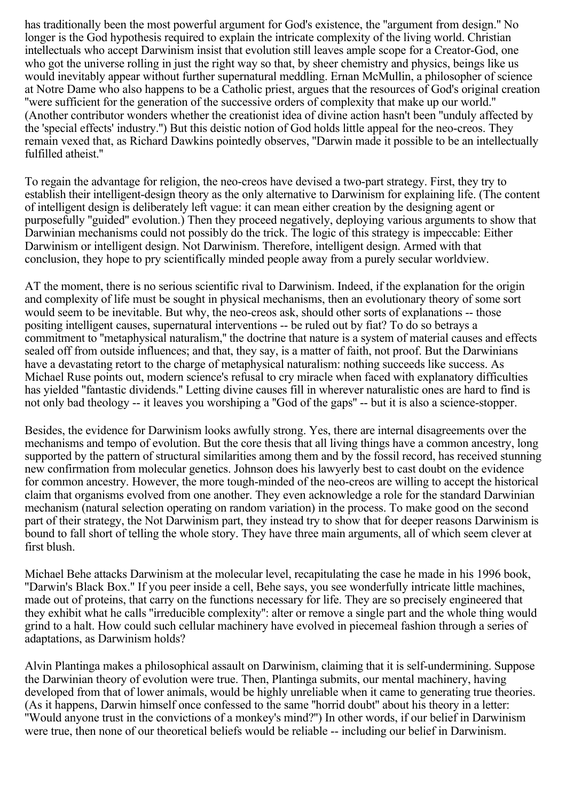has traditionally been the most powerful argument for God's existence, the ''argument from design.'' No longer is the God hypothesis required to explain the intricate complexity of the living world. Christian intellectuals who accept Darwinism insist that evolution still leaves ample scope for a Creator-God, one who got the universe rolling in just the right way so that, by sheer chemistry and physics, beings like us would inevitably appear without further supernatural meddling. Ernan McMullin, a philosopher of science at Notre Dame who also happens to be a Catholic priest, argues that the resources of God's original creation ''were sufficient for the generation of the successive orders of complexity that make up our world.'' (Another contributor wonders whether the creationist idea of divine action hasn't been ''unduly affected by the 'special effects' industry.'') But this deistic notion of God holds little appeal for the neo-creos. They remain vexed that, as Richard Dawkins pointedly observes, ''Darwin made it possible to be an intellectually fulfilled atheist.''

To regain the advantage for religion, the neo-creos have devised a two-part strategy. First, they try to establish their intelligent-design theory as the only alternative to Darwinism for explaining life. (The content of intelligent design is deliberately left vague: it can mean either creation by the designing agent or purposefully ''guided'' evolution.) Then they proceed negatively, deploying various arguments to show that Darwinian mechanisms could not possibly do the trick. The logic of this strategy is impeccable: Either Darwinism or intelligent design. Not Darwinism. Therefore, intelligent design. Armed with that conclusion, they hope to pry scientifically minded people away from a purely secular worldview.

AT the moment, there is no serious scientific rival to Darwinism. Indeed, if the explanation for the origin and complexity of life must be sought in physical mechanisms, then an evolutionary theory of some sort would seem to be inevitable. But why, the neo-creos ask, should other sorts of explanations -- those positing intelligent causes, supernatural interventions -- be ruled out by fiat? To do so betrays a commitment to ''metaphysical naturalism,'' the doctrine that nature is a system of material causes and effects sealed off from outside influences; and that, they say, is a matter of faith, not proof. But the Darwinians have a devastating retort to the charge of metaphysical naturalism: nothing succeeds like success. As Michael Ruse points out, modern science's refusal to cry miracle when faced with explanatory difficulties has yielded ''fantastic dividends.'' Letting divine causes fill in wherever naturalistic ones are hard to find is not only bad theology -- it leaves you worshiping a ''God of the gaps'' -- but it is also a science-stopper.

Besides, the evidence for Darwinism looks awfully strong. Yes, there are internal disagreements over the mechanisms and tempo of evolution. But the core thesis that all living things have a common ancestry, long supported by the pattern of structural similarities among them and by the fossil record, has received stunning new confirmation from molecular genetics. Johnson does his lawyerly best to cast doubt on the evidence for common ancestry. However, the more tough-minded of the neo-creos are willing to accept the historical claim that organisms evolved from one another. They even acknowledge a role for the standard Darwinian mechanism (natural selection operating on random variation) in the process. To make good on the second part of their strategy, the Not Darwinism part, they instead try to show that for deeper reasons Darwinism is bound to fall short of telling the whole story. They have three main arguments, all of which seem clever at first blush.

Michael Behe attacks Darwinism at the molecular level, recapitulating the case he made in his 1996 book, ''Darwin's Black Box.'' If you peer inside a cell, Behe says, you see wonderfully intricate little machines, made out of proteins, that carry on the functions necessary for life. They are so precisely engineered that they exhibit what he calls ''irreducible complexity'': alter or remove a single part and the whole thing would grind to a halt. How could such cellular machinery have evolved in piecemeal fashion through a series of adaptations, as Darwinism holds?

Alvin Plantinga makes a philosophical assault on Darwinism, claiming that it is self-undermining. Suppose the Darwinian theory of evolution were true. Then, Plantinga submits, our mental machinery, having developed from that of lower animals, would be highly unreliable when it came to generating true theories. (As it happens, Darwin himself once confessed to the same ''horrid doubt'' about his theory in a letter: ''Would anyone trust in the convictions of a monkey's mind?'') In other words, if our belief in Darwinism were true, then none of our theoretical beliefs would be reliable -- including our belief in Darwinism.